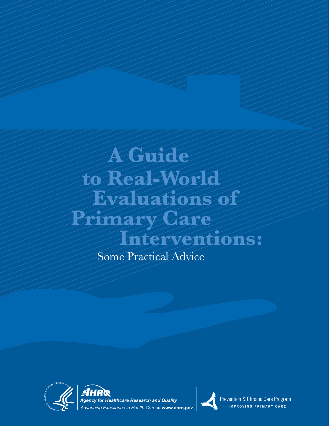# **A Guide to Real-World Evaluations of Primary Care Interventions:**

Some Practical Advice





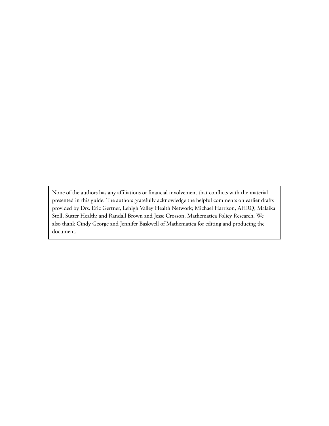None of the authors has any affiliations or financial involvement that conflicts with the material presented in this guide. The authors gratefully acknowledge the helpful comments on earlier drafts provided by Drs. Eric Gertner, Lehigh Valley Health Network; Michael Harrison, AHRQ; Malaika Stoll, Sutter Health; and Randall Brown and Jesse Crosson, Mathematica Policy Research. We also thank Cindy George and Jennifer Baskwell of Mathematica for editing and producing the document.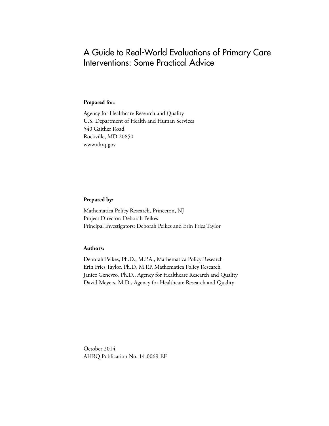# A Guide to Real-World Evaluations of Primary Care Interventions: Some Practical Advice

#### **Prepared for:**

Agency for Healthcare Research and Quality U.S. Department of Health and Human Services 540 Gaither Road Rockville, MD 20850 www.ahrq.gov

#### **Prepared by:**

Mathematica Policy Research, Princeton, NJ Project Director: Deborah Peikes Principal Investigators: Deborah Peikes and Erin Fries Taylor

#### **Authors:**

Deborah Peikes, Ph.D., M.P.A., Mathematica Policy Research Erin Fries Taylor, Ph.D, M.P.P, Mathematica Policy Research Janice Genevro, Ph.D., Agency for Healthcare Research and Quality David Meyers, M.D., Agency for Healthcare Research and Quality

October 2014 AHRQ Publication No. 14-0069-EF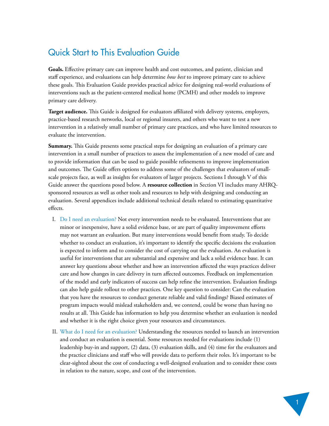# Quick Start to This Evaluation Guide

**Goals.** Effective primary care can improve health and cost outcomes, and patient, clinician and staff experience, and evaluations can help determine *how best* to improve primary care to achieve these goals. This Evaluation Guide provides practical advice for designing real-world evaluations of interventions such as the patient-centered medical home (PCMH) and other models to improve primary care delivery.

**Target audience.** This Guide is designed for evaluators affiliated with delivery systems, employers, practice-based research networks, local or regional insurers, and others who want to test a new intervention in a relatively small number of primary care practices, and who have limited resources to evaluate the intervention.

**Summary.** This Guide presents some practical steps for designing an evaluation of a primary care intervention in a small number of practices to assess the implementation of a new model of care and to provide information that can be used to guide possible refinements to improve implementation and outcomes. The Guide offers options to address some of the challenges that evaluators of smallscale projects face, as well as insights for evaluators of larger projects. Sections I through V of this Guide answer the questions posed below. A **[resource collection](#page-22-0)** in Section VI includes many AHRQsponsored resources as well as other tools and resources to help with designing and conducting an evaluation. Several appendices include additional technical details related to estimating quantitative effects.

- I. [Do I need an evaluation?](#page-6-0) Not every intervention needs to be evaluated. Interventions that are minor or inexpensive, have a solid evidence base, or are part of quality improvement efforts may not warrant an evaluation. But many interventions would benefit from study. To decide whether to conduct an evaluation, it's important to identify the specific decisions the evaluation is expected to inform and to consider the cost of carrying out the evaluation. An evaluation is useful for interventions that are substantial and expensive and lack a solid evidence base. It can answer key questions about whether and how an intervention affected the ways practices deliver care and how changes in care delivery in turn affected outcomes. Feedback on implementation of the model and early indicators of success can help refine the intervention. Evaluation findings can also help guide rollout to other practices. One key question to consider: Can the evaluation that you have the resources to conduct generate reliable and valid findings? Biased estimates of program impacts would mislead stakeholders and, we contend, could be worse than having no results at all. This Guide has information to help you determine whether an evaluation is needed and whether it is the right choice given your resources and circumstances.
- II. [What do I need for an evaluation? U](#page-8-0)nderstanding the resources needed to launch an intervention and conduct an evaluation is essential. Some resources needed for evaluations include (1) leadership buy-in and support, (2) data, (3) evaluation skills, and (4) time for the evaluators and the practice clinicians and staff who will provide data to perform their roles. It's important to be clear-sighted about the cost of conducting a well-designed evaluation and to consider these costs in relation to the nature, scope, and cost of the intervention.

 $\sqrt{1}$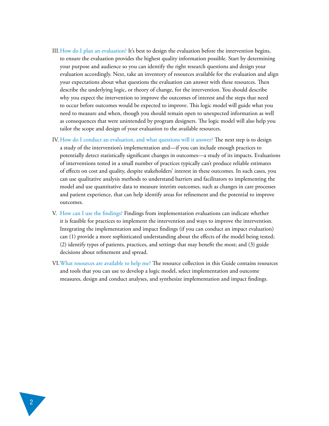- III[. How do I plan an evaluation?](#page-10-0) It's best to design the evaluation before the intervention begins, to ensure the evaluation provides the highest quality information possible. Start by determining your purpose and audience so you can identify the right research questions and design your evaluation accordingly. Next, take an inventory of resources available for the evaluation and align your expectations about what questions the evaluation can answer with these resources. Then describe the underlying logic, or theory of change, for the intervention. You should describe why you expect the intervention to improve the outcomes of interest and the steps that need to occur before outcomes would be expected to improve. This logic model will guide what you need to measure and when, though you should remain open to unexpected information as well as consequences that were unintended by program designers. The logic model will also help you tailor the scope and design of your evaluation to the available resources.
- IV. [How do I conduct an evaluation, and what questions will it answer?](#page-16-0) The next step is to design a study of the intervention's implementation and—if you can include enough practices to potentially detect statistically significant changes in outcomes—a study of its impacts. Evaluations of interventions tested in a small number of practices typically can't produce reliable estimates of effects on cost and quality, despite stakeholders' interest in these outcomes. In such cases, you can use qualitative analysis methods to understand barriers and facilitators to implementing the model and use quantitative data to measure interim outcomes, such as changes in care processes and patient experience, that can help identify areas for refinement and the potential to improve outcomes.
- V. [How can I use the findings?](#page-21-0) Findings from implementation evaluations can indicate whether it is feasible for practices to implement the intervention and ways to improve the intervention. Integrating the implementation and impact findings (if you can conduct an impact evaluation) can (1) provide a more sophisticated understanding about the effects of the model being tested; (2) identify types of patients, practices, and settings that may benefit the most; and (3) guide decisions about refinement and spread.
- VI. [What resources are available to help me? Th](#page-22-0)e resource collection in this Guide contains resources and tools that you can use to develop a logic model, select implementation and outcome measures, design and conduct analyses, and synthesize implementation and impact findings.

2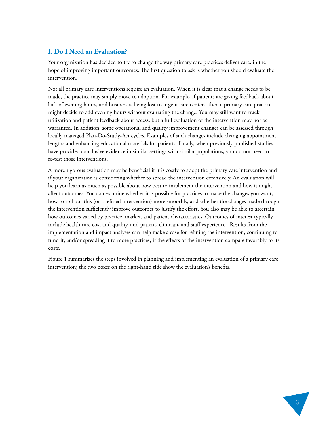## <span id="page-6-0"></span>**I. Do I Need an Evaluation?**

Your organization has decided to try to change the way primary care practices deliver care, in the hope of improving important outcomes. The first question to ask is whether you should evaluate the intervention.

Not all primary care interventions require an evaluation. When it is clear that a change needs to be made, the practice may simply move to adoption. For example, if patients are giving feedback about lack of evening hours, and business is being lost to urgent care centers, then a primary care practice might decide to add evening hours without evaluating the change. You may still want to track utilization and patient feedback about access, but a full evaluation of the intervention may not be warranted. In addition, some operational and quality improvement changes can be assessed through locally managed Plan-Do-Study-Act cycles. Examples of such changes include changing appointment lengths and enhancing educational materials for patients. Finally, when previously published studies have provided conclusive evidence in similar settings with similar populations, you do not need to re-test those interventions.

A more rigorous evaluation may be beneficial if it is costly to adopt the primary care intervention and if your organization is considering whether to spread the intervention extensively. An evaluation will help you learn as much as possible about how best to implement the intervention and how it might affect outcomes. You can examine whether it is possible for practices to make the changes you want, how to roll out this (or a refined intervention) more smoothly, and whether the changes made through the intervention sufficiently improve outcomes to justify the effort. You also may be able to ascertain how outcomes varied by practice, market, and patient characteristics. Outcomes of interest typically include health care cost and quality, and patient, clinician, and staff experience. Results from the implementation and impact analyses can help make a case for refining the intervention, continuing to fund it, and/or spreading it to more practices, if the effects of the intervention compare favorably to its costs.

Figure 1 summarizes the steps involved in planning and implementing an evaluation of a primary care intervention; the two boxes on the right-hand side show the evaluation's benefits.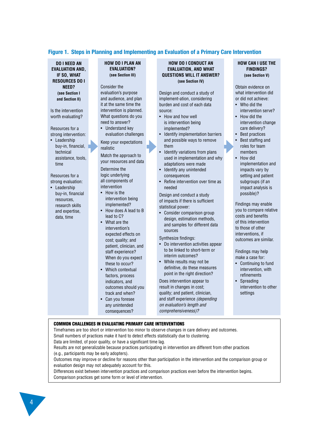#### **Figure 1. Steps in Planning and Implementing an Evaluation of a Primary Care Intervention**

**DO I NEED AN EVALUATION AND, IF SO, WHAT RESOURCES DO I NEED? (see [Section I](#page-6-0)  and [Section II\)](#page-8-0)**

Is the intervention worth evaluating?

Resources for a strong intervention:

• Leadership buy-in, financial, technical assistance, tools, time

Resources for a strong evaluation: • Leadership

buy-in, financial resources, research skills and expertise, data, time

#### **HOW DO I PLAN AN EVALUATION? (se[e Section III\)](#page-10-0)**

Consider the evaluation's purpose and audience, and plan it at the same time the intervention is planned. What questions do you need to answer?

• Understand key evaluation challenges

Keep your expectations realistic

Match the approach to your resources and data Determine the logic underlying all components of

- intervention • How is the intervention being
- implemented? • How does A lead to B lead to C? What are the
- intervention's expected effects on cost; quality; and patient, clinician, and staff experience? When do you expect these to occur?
- Which contextual factors, process indicators, and outcomes should you track and when?
- Can you foresee any unintended consequences?

#### **HOW DO I CONDUCT AN EVALUATION, AND WHAT QUESTIONS WILL IT ANSWER? (se[e Section IV\)](#page-16-0)**

Design and conduct a study of implement-ation, considering burden and cost of each data source:

- How and how well is intervention being implemented?
- Identify implementation barriers and possible ways to remove them
- Identify variations from plans used in implementation and why adaptations were made
- Identify any unintended consequences
- Refine intervention over time as needed

Design and conduct a study of impacts if there is sufficient statistical power:

• Consider comparison group design, estimation methods, and samples for different data sources

Synthesize findings:

- Do intervention activities appear to be linked to short-term or interim outcomes?
- While results may not be definitive, do these measures point in the right direction? Does intervention appear to result in changes in cost;

quality; and patient, clinician, and staff experience *(depending on evaluation's length and comprehensiveness)?*

#### **HOW CAN I USE THE FINDINGS? (see [Section V\)](#page-21-0)**

Obtain evidence on what intervention did or did not achieve:

- Who did the intervention serve?
- How did the intervention change
- care delivery? • Best practices
- Best staffing and
- roles for team members
- How did implementation and impacts vary by setting and patient subgroups (if an impact analysis is possible)?

Findings may enable you to compare relative costs and benefits of this intervention to those of other interventions, if outcomes are similar.

Findings may help make a case for:

- Continuing to fund intervention, with refinements
- Spreading intervention to other settings

#### COMMON CHALLENGES IN EVALUATING PRIMARY CARE INTERVENTIONS

Timeframes are too short or intervention too minor to observe changes in care delivery and outcomes. Small numbers of practices make it hard to detect effects statistically due to clustering. Data are limited, of poor quality, or have a significant time lag.

Results are not generalizable because practices participating in intervention are different from other practices (e.g., participants may be early adopters).

Outcomes may improve or decline for reasons other than participation in the intervention and the comparison group or evaluation design may not adequately account for this.

Differences exist between intervention practices and comparison practices even before the intervention begins. Comparison practices get some form or level of intervention.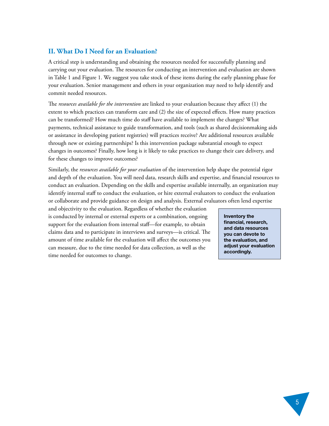#### <span id="page-8-0"></span>**II. What Do I Need for an Evaluation?**

A critical step is understanding and obtaining the resources needed for successfully planning and carrying out your evaluation. The resources for conducting an intervention and evaluation are shown in Table 1 and Figure 1. We suggest you take stock of these items during the early planning phase for your evaluation. Senior management and others in your organization may need to help identify and commit needed resources.

The *resources available for the intervention* are linked to your evaluation because they affect (1) the extent to which practices can transform care and (2) the size of expected effects. How many practices can be transformed? How much time do staff have available to implement the changes? What payments, technical assistance to guide transformation, and tools (such as shared decisionmaking aids or assistance in developing patient registries) will practices receive? Are additional resources available through new or existing partnerships? Is this intervention package substantial enough to expect changes in outcomes? Finally, how long is it likely to take practices to change their care delivery, and for these changes to improve outcomes?

Similarly, the *resources available for your evaluation* of the intervention help shape the potential rigor and depth of the evaluation. You will need data, research skills and expertise, and financial resources to conduct an evaluation. Depending on the skills and expertise available internally, an organization may identify internal staff to conduct the evaluation, or hire external evaluators to conduct the evaluation or collaborate and provide guidance on design and analysis. External evaluators often lend expertise

and objectivity to the evaluation. Regardless of whether the evaluation is conducted by internal or external experts or a combination, ongoing support for the evaluation from internal staff—for example, to obtain claims data and to participate in interviews and surveys—is critical. The amount of time available for the evaluation will affect the outcomes you can measure, due to the time needed for data collection, as well as the time needed for outcomes to change.

**Inventory the financial, research, and data resources you can devote to the evaluation, and adjust your evaluation accordingly.**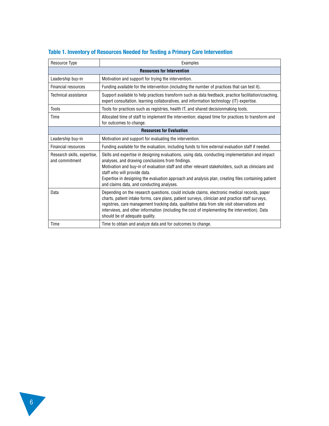| Resource Type                                 | Examples                                                                                                                                                                                                                                                                                                                                                                                                                                     |
|-----------------------------------------------|----------------------------------------------------------------------------------------------------------------------------------------------------------------------------------------------------------------------------------------------------------------------------------------------------------------------------------------------------------------------------------------------------------------------------------------------|
| <b>Resources for Intervention</b>             |                                                                                                                                                                                                                                                                                                                                                                                                                                              |
| Leadership buy-in                             | Motivation and support for trying the intervention.                                                                                                                                                                                                                                                                                                                                                                                          |
| Financial resources                           | Funding available for the intervention (including the number of practices that can test it).                                                                                                                                                                                                                                                                                                                                                 |
| <b>Technical assistance</b>                   | Support available to help practices transform such as data feedback, practice facilitation/coaching,<br>expert consultation, learning collaboratives, and information technology (IT) expertise.                                                                                                                                                                                                                                             |
| Tools                                         | Tools for practices such as registries, health IT, and shared decisionmaking tools.                                                                                                                                                                                                                                                                                                                                                          |
| Time                                          | Allocated time of staff to implement the intervention; elapsed time for practices to transform and<br>for outcomes to change.                                                                                                                                                                                                                                                                                                                |
| <b>Resources for Evaluation</b>               |                                                                                                                                                                                                                                                                                                                                                                                                                                              |
| Leadership buy-in                             | Motivation and support for evaluating the intervention.                                                                                                                                                                                                                                                                                                                                                                                      |
| <b>Financial resources</b>                    | Funding available for the evaluation, including funds to hire external evaluation staff if needed.                                                                                                                                                                                                                                                                                                                                           |
| Research skills, expertise,<br>and commitment | Skills and expertise in designing evaluations, using data, conducting implementation and impact<br>analyses, and drawing conclusions from findings.<br>Motivation and buy-in of evaluation staff and other relevant stakeholders, such as clinicians and<br>staff who will provide data.<br>Expertise in designing the evaluation approach and analysis plan, creating files containing patient<br>and claims data, and conducting analyses. |
| Data                                          | Depending on the research questions, could include claims, electronic medical records, paper<br>charts, patient intake forms, care plans, patient surveys, clinician and practice staff surveys,<br>registries, care management tracking data, qualitative data from site visit observations and<br>interviews, and other information (including the cost of implementing the intervention). Data<br>should be of adequate quality.          |
| Time                                          | Time to obtain and analyze data and for outcomes to change.                                                                                                                                                                                                                                                                                                                                                                                  |

## **Table 1. Inventory of Resources Needed for Testing a Primary Care Intervention**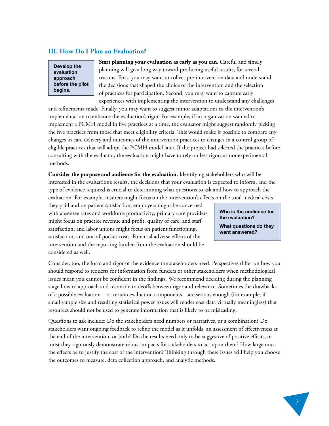#### <span id="page-10-0"></span>**III. How Do I Plan an Evaluation?**

**Develop the evaluation approach before the pilot begins.**

**Start planning your evaluation as early as you can.** Careful and timely planning will go a long way toward producing useful results, for several reasons. First, you may want to collect pre-intervention data and understand the decisions that shaped the choice of the intervention and the selection of practices for participation. Second, you may want to capture early experiences with implementing the intervention to understand any challenges

and refinements made. Finally, you may want to suggest minor adaptations to the intervention's implementation to enhance the evaluation's rigor. For example, if an organization wanted to implement a PCMH model in five practices at a time, the evaluator might suggest randomly picking the five practices from those that meet eligibility criteria. This would make it possible to compare any changes in care delivery and outcomes of the intervention practices to changes in a control group of eligible practices that will adopt the PCMH model later. If the project had selected the practices before consulting with the evaluator, the evaluation might have to rely on less rigorous nonexperimental methods.

**Consider the purpose and audience for the evaluation.** Identifying stakeholders who will be interested in the evaluation's results, the decisions that your evaluation is expected to inform, and the type of evidence required is crucial to determining what questions to ask and how to approach the evaluation. For example, insurers might focus on the intervention's effects on the total medical costs

they paid and on patient satisfaction; employers might be concerned with absentee rates and workforce productivity; primary care providers might focus on practice revenue and profit, quality of care, and staff satisfaction; and labor unions might focus on patient functioning, satisfaction, and out-of-pocket costs. Potential adverse effects of the intervention and the reporting burden from the evaluation should be considered as well.

**Who is the audience for the evaluation? What questions do they** 

**want answered?**

Consider, too, the form and rigor of the evidence the stakeholders need. Perspectives differ on how you should respond to requests for information from funders or other stakeholders when methodological issues mean you cannot be confident in the findings. We recommend deciding during the planning stage how to approach and reconcile tradeoffs between rigor and relevance. Sometimes the drawbacks of a possible evaluation—or certain evaluation components—are serious enough (for example, if small sample size and resulting statistical power issues will render cost data virtually meaningless) that resources should not be used to generate information that is likely to be misleading.

Questions to ask include: Do the stakeholders need numbers or narratives, or a combination? Do stakeholders want ongoing feedback to refine the model as it unfolds, an assessment of effectiveness at the end of the intervention, or both? Do the results need only to be suggestive of positive effects, or must they rigorously demonstrate robust impacts for stakeholders to act upon them? How large must the effects be to justify the cost of the intervention? Thinking through these issues will help you choose the outcomes to measure, data collection approach, and analytic methods.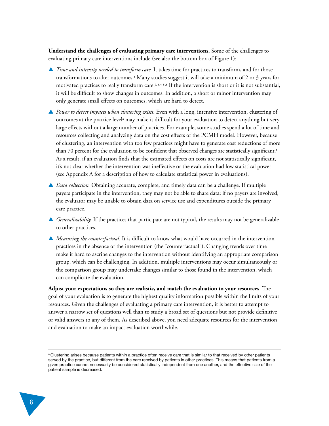**Understand the challenges of evaluating primary care interventions.** Some of the challenges to evaluating primary care interventions include (see also the bottom box of Figure 1):

- ▲ *Time and intensity needed to transform care.* It takes time for practices to transform, and for those transformations to alter outcomes.<sup>1</sup>  [M](#page-30-0)any studies suggest it will take a minimum of 2 or 3 years for motivated practices to really transform car[e.](#page-30-0)<sup>2, 3, 4, 5, 6</sup> [I](#page-30-0)f the intervention is short or it is not substantial, it will be difficult to show changes in outcomes. In addition, a short or minor intervention may only generate small effects on outcomes, which are hard to detect.
- ▲ *Power to detect impacts when clustering exists*. Even with a long, intensive intervention, clustering of outcomes at the practice level<sup>s</sup> may make it difficult for your evaluation to detect anything but very large effects without a large number of practices. For example, some studies spend a lot of time and resources collecting and analyzing data on the cost effects of the PCMH model. However, because of clustering, an intervention with too few practices might have to generate cost reductions of more than 70 percent for the evaluation to be confident that observed changes are statistically significant[.](#page-30-0)<sup>7</sup> As a result, if an evaluation finds that the estimated effects on costs are not statistically significant, it's not clear whether the intervention was ineffective or the evaluation had low statistical power (see [Appendix A f](#page-26-0)or a description of how to calculate statistical power in evaluations).
- ▲ *Data collection*. Obtaining accurate, complete, and timely data can be a challenge. If multiple payers participate in the intervention, they may not be able to share data; if no payers are involved, the evaluator may be unable to obtain data on service use and expenditures outside the primary care practice.
- ▲ *Generalizability*. If the practices that participate are not typical, the results may not be generalizable to other practices.
- ▲ *Measuring the counterfactual*. It is difficult to know what would have occurred in the intervention practices in the absence of the intervention (the "counterfactual"). Changing trends over time make it hard to ascribe changes to the intervention without identifying an appropriate comparison group, which can be challenging. In addition, multiple interventions may occur simultaneously or the comparison group may undertake changes similar to those found in the intervention, which can complicate the evaluation.

**Adjust your expectations so they are realistic, and match the evaluation to your resources**. The goal of your evaluation is to generate the highest quality information possible within the limits of your resources. Given the challenges of evaluating a primary care intervention, it is better to attempt to answer a narrow set of questions well than to study a broad set of questions but not provide definitive or valid answers to any of them. As described above, you need adequate resources for the intervention and evaluation to make an impact evaluation worthwhile.

a Clustering arises because patients within a practice often receive care that is similar to that received by other patients served by the practice, but different from the care received by patients in other practices. This means that patients from a given practice cannot necessarily be considered statistically independent from one another, and the effective size of the patient sample is decreased.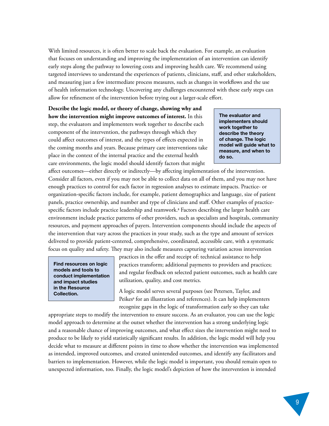With limited resources, it is often better to scale back the evaluation. For example, an evaluation that focuses on understanding and improving the implementation of an intervention can identify early steps along the pathway to lowering costs and improving health care. We recommend using targeted interviews to understand the experiences of patients, clinicians, staff, and other stakeholders, and measuring just a few intermediate process measures, such as changes in workflows and the use of health information technology. Uncovering any challenges encountered with these early steps can allow for refinement of the intervention before trying out a larger-scale effort.

**Describe the logic model, or theory of change, showing why and how the intervention might improve outcomes of interest.** In this step, the evaluators and implementers work together to describe each component of the intervention, the pathways through which they could affect outcomes of interest, and the types of effects expected in the coming months and years. Because primary care interventions take place in the context of the internal practice and the external health care environments, the logic model should identify factors that might

**The evaluator and implementers should work together to describe the theory of change. The logic model will guide what to measure, and when to do so.** 

affect outcomes—either directly or indirectly—by affecting implementation of the intervention. Consider all factors, even if you may not be able to collect data on all of them, and you may not have enough practices to control for each factor in regression analyses to estimate impacts. Practice- or organization-specific factors include, for example, patient demographics and language, size of patient panels, practice ownership, and number and type of clinicians and staff. Other examples of practice-specific factors include practice leadership and teamwork.8 [F](#page-30-0)actors describing the larger health care environment include practice patterns of other providers, such as specialists and hospitals, community resources, and payment approaches of payers. Intervention components should include the aspects of the intervention that vary across the practices in your study, such as the type and amount of services delivered to provide patient-centered, comprehensive, coordinated, accessible care, with a systematic focus on quality and safety. They may also include measures capturing variation across intervention

**Find resources on logic models and tools to conduct implementation and impact studies [in the Resource](#page-22-0)  Collection.** 

practices in the offer and receipt of: technical assistance to help practices transform; additional payments to providers and practices; and regular feedback on selected patient outcomes, such as health care utilization, quality, and cost metrics.

A logic model serves several purposes (see Petersen, Taylor, and Peikes<sup>®</sup> [f](#page-30-0)or an illustration and references). It can help implementers recognize gaps in the logic of transformation early so they can take

appropriate steps to modify the intervention to ensure success. As an evaluator, you can use the logic model approach to determine at the outset whether the intervention has a strong underlying logic and a reasonable chance of improving outcomes, and what effect sizes the intervention might need to produce to be likely to yield statistically significant results. In addition, the logic model will help you decide what to measure at different points in time to show whether the intervention was implemented as intended, improved outcomes, and created unintended outcomes, and identify any facilitators and barriers to implementation. However, while the logic model is important, you should remain open to unexpected information, too. Finally, the logic model's depiction of how the intervention is intended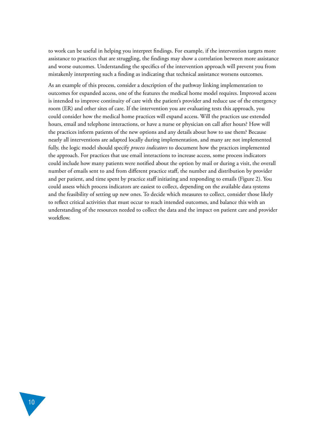to work can be useful in helping you interpret findings. For example, if the intervention targets more assistance to practices that are struggling, the findings may show a correlation between more assistance and worse outcomes. Understanding the specifics of the intervention approach will prevent you from mistakenly interpreting such a finding as indicating that technical assistance worsens outcomes.

As an example of this process, consider a description of the pathway linking implementation to outcomes for expanded access, one of the features the medical home model requires. Improved access is intended to improve continuity of care with the patient's provider and reduce use of the emergency room (ER) and other sites of care. If the intervention you are evaluating tests this approach, you could consider how the medical home practices will expand access. Will the practices use extended hours, email and telephone interactions, or have a nurse or physician on call after hours? How will the practices inform patients of the new options and any details about how to use them? Because nearly all interventions are adapted locally during implementation, and many are not implemented fully, the logic model should specify *process indicators* to document how the practices implemented the approach. For practices that use email interactions to increase access, some process indicators could include how many patients were notified about the option by mail or during a visit, the overall number of emails sent to and from different practice staff, the number and distribution by provider and per patient, and time spent by practice staff initiating and responding to emails (Figure 2). You could assess which process indicators are easiest to collect, depending on the available data systems and the feasibility of setting up new ones. To decide which measures to collect, consider those likely to reflect critical activities that must occur to reach intended outcomes, and balance this with an understanding of the resources needed to collect the data and the impact on patient care and provider workflow.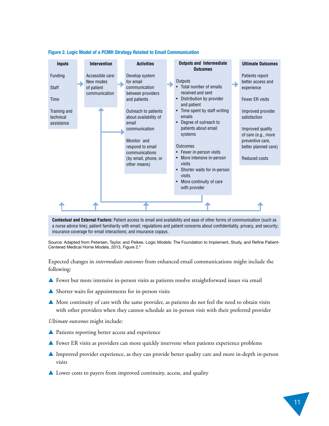

#### **Figure 2. Logic Model of a PCMH Strategy Related to Email Communication**

**Contextual and External Factors:** Patient access to email and availability and ease of other forms of communication (such as a nurse advice line); patient familiarity with email; regulations and patient concerns about confidentiality, privacy, and security; insurance coverage for email interactions; and insurance copays.

Source: Adapted from Petersen, Taylor, and Peikes. Logic Models: The Foundation to Implement, Study, and Refine Patient-Centered Medical Home Models, 2013, Figure [2.9](#page-30-0)

Expected changes in *intermediate outcomes* from enhanced email communications might include the following:

- ▲ Fewer but more intensive in-person visits as patients resolve straightforward issues via email
- ▲ Shorter waits for appointments for in-person visits
- ▲ More continuity of care with the same provider, as patients do not feel the need to obtain visits with other providers when they cannot schedule an in-person visit with their preferred provider

*Ultimate outcomes* might include:

- ▲ Patients reporting better access and experience
- ▲ Fewer ER visits as providers can more quickly intervene when patients experience problems
- ▲ Improved provider experience, as they can provide better quality care and more in-depth in-person visits
- ▲ Lower costs to payers from improved continuity, access, and quality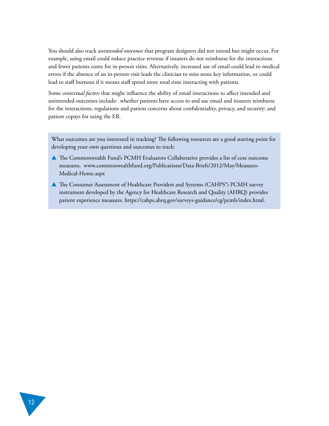You should also track *unintended outcomes* that program designers did not intend but might occur. For example, using email could reduce practice revenue if insurers do not reimburse for the interactions and fewer patients come for in-person visits. Alternatively, increased use of email could lead to medical errors if the absence of an in-person visit leads the clinician to miss some key information, or could lead to staff burnout if it means staff spend more total time interacting with patients.

Some *contextual factors* that might influence the ability of email interactions to affect intended and unintended outcomes include: whether patients have access to and use email and insurers reimburse for the interactions; regulations and patient concerns about confidentiality, privacy, and security; and patient copays for using the ER.

What outcomes are you interested in tracking? The following resources are a good starting point for developing your own questions and outcomes to track:

- ▲ The Commonwealth Fund's PCMH Evaluators Collaborative provides a list of core outcome measures. [www.commonwealthfund.org/Publications/Data-Briefs/2012/May/Measures-](http://www.commonwealthfund.org/Publications/Data-Briefs/2012/May/Measures-Medical-Home.aspx)[Medical-Home.aspx](http://www.commonwealthfund.org/Publications/Data-Briefs/2012/May/Measures-Medical-Home.aspx)
- ▲ The Consumer Assessment of Healthcare Providers and Systems (CAHPS®) PCMH survey instrument developed by the Agency for Healthcare Research and Quality (AHRQ) provides patient experience measures. [https://cahps.ahrq.gov/surveys-guidance/cg/pcmh/index.html.](https://cahps.ahrq.gov/surveys-guidance/cg/pcmh/index.html)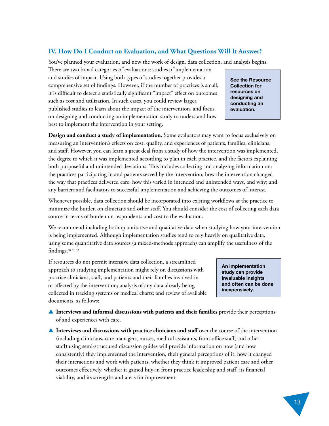## <span id="page-16-0"></span>**IV. How Do I Conduct an Evaluation, and What Questions Will It Answer?**

You've planned your evaluation, and now the work of design, data collection, and analysis begins.

There are two broad categories of evaluations: studies of implementation and studies of impact. Using both types of studies together provides a comprehensive set of findings. However, if the number of practices is small, it is difficult to detect a statistically significant "impact" effect on outcomes such as cost and utilization. In such cases, you could review larger, published studies to learn about the impact of the intervention, and focus on designing and conducting an implementation study to understand how best to implement the intervention in your setting.

**[See the Resource](#page-22-0)  Collection for resources on designing and conducting an evaluation.** 

**Design and conduct a study of implementation.** Some evaluators may want to focus exclusively on measuring an intervention's effects on cost, quality, and experiences of patients, families, clinicians, and staff. However, you can learn a great deal from a study of how the intervention was implemented, the degree to which it was implemented according to plan in each practice, and the factors explaining both purposeful and unintended deviations. This includes collecting and analyzing information on: the practices participating in and patients served by the intervention; how the intervention changed the way that practices delivered care, how this varied in intended and unintended ways, and why; and any barriers and facilitators to successful implementation and achieving the outcomes of interest.

Whenever possible, data collection should be incorporated into existing workflows at the practice to minimize the burden on clinicians and other staff. You should consider the cost of collecting each data source in terms of burden on respondents and cost to the evaluation.

We recommend including both quantitative and qualitative data when studying how your intervention is being implemented. Although implementation studies tend to rely heavily on qualitative data, using some quantitative data sources (a mixed-methods approach) can amplify the usefulness of the findings.[10,](#page-30-0) [11, 12](#page-31-0)

If resources do not permit intensive data collection, a streamlined approach to studying implementation might rely on discussions with practice clinicians, staff, and patients and their families involved in or affected by the intervention; analysis of any data already being collected in tracking systems or medical charts; and review of available documents, as follows:

**An implementation study can provide invaluable insights and often can be done inexpensively.**

▲ **Interviews and informal discussions with patients and their families** provide their perceptions of and experiences with care.

**▲ Interviews and discussions with practice clinicians and staff over the course of the intervention** (including clinicians, care managers, nurses, medical assistants, front office staff, and other staff) using semi-structured discussion guides will provide information on how (and how consistently) they implemented the intervention, their general perceptions of it, how it changed their interactions and work with patients, whether they think it improved patient care and other outcomes effectively, whether it gained buy-in from practice leadership and staff, its financial viability, and its strengths and areas for improvement.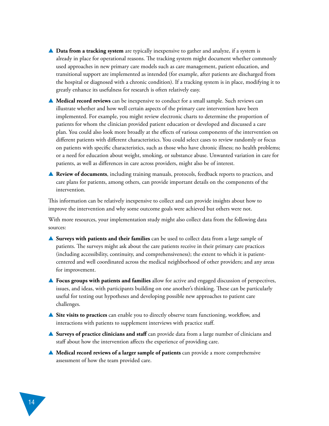- ▲ **Data from a tracking system** are typically inexpensive to gather and analyze, if a system is already in place for operational reasons. The tracking system might document whether commonly used approaches in new primary care models such as care management, patient education, and transitional support are implemented as intended (for example, after patients are discharged from the hospital or diagnosed with a chronic condition). If a tracking system is in place, modifying it to greatly enhance its usefulness for research is often relatively easy.
- **▲ Medical record reviews** can be inexpensive to conduct for a small sample. Such reviews can illustrate whether and how well certain aspects of the primary care intervention have been implemented. For example, you might review electronic charts to determine the proportion of patients for whom the clinician provided patient education or developed and discussed a care plan. You could also look more broadly at the effects of various components of the intervention on different patients with different characteristics. You could select cases to review randomly or focus on patients with specific characteristics, such as those who have chronic illness; no health problems; or a need for education about weight, smoking, or substance abuse. Unwanted variation in care for patients, as well as differences in care across providers, might also be of interest.
- ▲ **Review of documents**, including training manuals, protocols, feedback reports to practices, and care plans for patients, among others, can provide important details on the components of the intervention.

This information can be relatively inexpensive to collect and can provide insights about how to improve the intervention and why some outcome goals were achieved but others were not.

With more resources, your implementation study might also collect data from the following data sources:

- ▲ **Surveys with patients and their families** can be used to collect data from a large sample of patients. The surveys might ask about the care patients receive in their primary care practices (including accessibility, continuity, and comprehensiveness); the extent to which it is patientcentered and well coordinated across the medical neighborhood of other providers; and any areas for improvement.
- ▲ **Focus groups with patients and families** allow for active and engaged discussion of perspectives, issues, and ideas, with participants building on one another's thinking. These can be particularly useful for testing out hypotheses and developing possible new approaches to patient care challenges.
- ▲ Site visits to practices can enable you to directly observe team functioning, workflow, and interactions with patients to supplement interviews with practice staff.
- ▲ **Surveys of practice clinicians and staff** can provide data from a large number of clinicians and staff about how the intervention affects the experience of providing care.
- ▲ **Medical record reviews of a larger sample of patients** can provide a more comprehensive assessment of how the team provided care.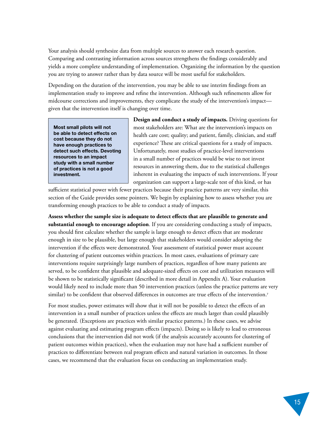Your analysis should synthesize data from multiple sources to answer each research question. Comparing and contrasting information across sources strengthens the findings considerably and yields a more complete understanding of implementation. Organizing the information by the question you are trying to answer rather than by data source will be most useful for stakeholders.

Depending on the duration of the intervention, you may be able to use interim findings from an implementation study to improve and refine the intervention. Although such refinements allow for midcourse corrections and improvements, they complicate the study of the intervention's impact given that the intervention itself is changing over time.

**Most small pilots will not be able to detect effects on cost because they do not have enough practices to detect such effects. Devoting resources to an impact study with a small number of practices is not a good investment.** 

**Design and conduct a study of impacts.** Driving questions for most stakeholders are: What are the intervention's impacts on health care cost; quality; and patient, family, clinician, and staff experience? These are critical questions for a study of impacts. Unfortunately, most studies of practice-level interventions in a small number of practices would be wise to not invest resources in answering them, due to the statistical challenges inherent in evaluating the impacts of such interventions. If your organization can support a large-scale test of this kind, or has

sufficient statistical power with fewer practices because their practice patterns are very similar, this section of the Guide provides some pointers. We begin by explaining how to assess whether you are transforming enough practices to be able to conduct a study of impacts.

**Assess whether the sample size is adequate to detect effects that are plausible to generate and substantial enough to encourage adoption**. If you are considering conducting a study of impacts, you should first calculate whether the sample is large enough to detect effects that are moderate enough in size to be plausible, but large enough that stakeholders would consider adopting the intervention if the effects were demonstrated. Your assessment of statistical power must account for clustering of patient outcomes within practices. In most cases, evaluations of primary care interventions require surprisingly large numbers of practices, regardless of how many patients are served, to be confident that plausible and adequate-sized effects on cost and utilization measures will be shown to be statistically significant (described in more detail in [Appendix A\)](#page-26-0). Your evaluation would likely need to include more than 50 intervention practices (unless the practice patterns are very similar) to be confident that observed differences in outcomes are true effects of the intervention.[7](#page-30-0)

For most studies, power estimates will show that it will not be possible to detect the effects of an intervention in a small number of practices unless the effects are much larger than could plausibly be generated. (Exceptions are practices with similar practice patterns.) In these cases, we advise against evaluating and estimating program effects (impacts). Doing so is likely to lead to erroneous conclusions that the intervention did not work (if the analysis accurately accounts for clustering of patient outcomes within practices), when the evaluation may not have had a sufficient number of practices to differentiate between real program effects and natural variation in outcomes. In those cases, we recommend that the evaluation focus on conducting an implementation study.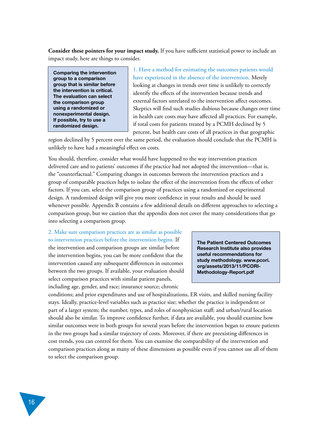**Consider these pointers for your impact study.** If you have sufficient statistical power to include an impact study, here are things to consider.

**Comparing the intervention group to a comparison group that is similar before the intervention is critical. The evaluation can select the comparison group using a randomized or nonexperimental design. If possible, try to use a randomized design.**

1. Have a method for estimating the outcomes patients would have experienced in the absence of the intervention. Merely looking at changes in trends over time is unlikely to correctly identify the effects of the intervention because trends and external factors unrelated to the intervention affect outcomes. Skeptics will find such studies dubious because changes over time in health care costs may have affected all practices. For example, if total costs for patients treated by a PCMH declined by 5 percent, but health care costs of all practices in that geographic

region declined by 5 percent over the same period, the evaluation should conclude that the PCMH is unlikely to have had a meaningful effect on costs.

You should, therefore, consider what would have happened to the way intervention practices delivered care and to patients' outcomes if the practice had not adopted the intervention—that is, the "counterfactual." Comparing changes in outcomes between the intervention practices and a group of comparable practices helps to isolate the effect of the intervention from the effects of other factors. If you can, select the comparison group of practices using a randomized or experimental design. A randomized design will give you more confidence in your results and should be used whenever possible. [Appendix B c](#page-27-0)ontains a few additional details on different approaches to selecting a comparison group, but we caution that the appendix does not cover the many considerations that go into selecting a comparison group.

#### 2. Make sure comparison practices are as similar as possible to intervention practices before the intervention begins. If

the intervention and comparison groups are similar before the intervention begins, you can be more confident that the intervention caused any subsequent differences in outcomes between the two groups. If available, your evaluation should select comparison practices with similar patient panels, including age, gender, and race; insurance source; chronic

**The Patient Centered Outcomes Research Institute also provides useful recommendations for study methodology. [www.pcori.](http://www.pcori.org/assets/2013/11/PCORI-Methodology-Report.pdf) [org/assets/2013/11/PCORI-](http://www.pcori.org/assets/2013/11/PCORI-Methodology-Report.pdf)[Methodology-Report.pdf](http://www.pcori.org/assets/2013/11/PCORI-Methodology-Report.pdf)**

conditions; and prior expenditures and use of hospitalizations, ER visits, and skilled nursing facility stays. Ideally, practice-level variables such as practice size; whether the practice is independent or part of a larger system; the number, types, and roles of nonphysician staff; and urban/rural location should also be similar. To improve confidence further, if data are available, you should examine how similar outcomes were in both groups for several years before the intervention began to ensure patients in the two groups had a similar trajectory of costs. Moreover, if there are preexisting differences in cost trends, you can control for them. You can examine the comparability of the intervention and comparison practices along as many of these dimensions as possible even if you cannot use all of them to select the comparison group.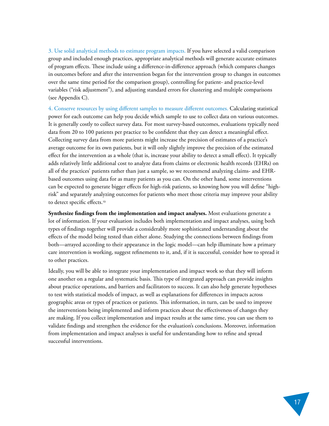3. Use solid analytical methods to estimate program impacts. If you have selected a valid comparison group and included enough practices, appropriate analytical methods will generate accurate estimates of program effects. These include using a difference-in-difference approach (which compares changes in outcomes before and after the intervention began for the intervention group to changes in outcomes over the same time period for the comparison group), controlling for patient- and practice-level variables ("risk adjustment"), and adjusting standard errors for clustering and multiple comparisons (see [Appendix C\)](#page-29-0).

4. Conserve resources by using different samples to measure different outcomes. Calculating statistical power for each outcome can help you decide which sample to use to collect data on various outcomes. It is generally costly to collect survey data. For most survey-based outcomes, evaluations typically need data from 20 to 100 patients per practice to be confident that they can detect a meaningful effect. Collecting survey data from more patients might increase the precision of estimates of a practice's average outcome for its own patients, but it will only slightly improve the precision of the estimated effect for the intervention as a whole (that is, increase your ability to detect a small effect). It typically adds relatively little additional cost to analyze data from claims or electronic health records (EHRs) on all of the practices' patients rather than just a sample, so we recommend analyzing claims- and EHRbased outcomes using data for as many patients as you can. On the other hand, some interventions can be expected to generate bigger effects for high-risk patients, so knowing how you will define "highrisk" and separately analyzing outcomes for patients who meet those criteria may improve your ability to detect specific effects.[13](#page-31-0)

**Synthesize findings from the implementation and impact analyses.** Most evaluations generate a lot of information. If your evaluation includes both implementation and impact analyses, using both types of findings together will provide a considerably more sophisticated understanding about the effects of the model being tested than either alone. Studying the connections between findings from both—arrayed according to their appearance in the logic model—can help illuminate how a primary care intervention is working, suggest refinements to it, and, if it is successful, consider how to spread it to other practices.

Ideally, you will be able to integrate your implementation and impact work so that they will inform one another on a regular and systematic basis. This type of integrated approach can provide insights about practice operations, and barriers and facilitators to success. It can also help generate hypotheses to test with statistical models of impact, as well as explanations for differences in impacts across geographic areas or types of practices or patients. This information, in turn, can be used to improve the interventions being implemented and inform practices about the effectiveness of changes they are making. If you collect implementation and impact results at the same time, you can use them to validate findings and strengthen the evidence for the evaluation's conclusions. Moreover, information from implementation and impact analyses is useful for understanding how to refine and spread successful interventions.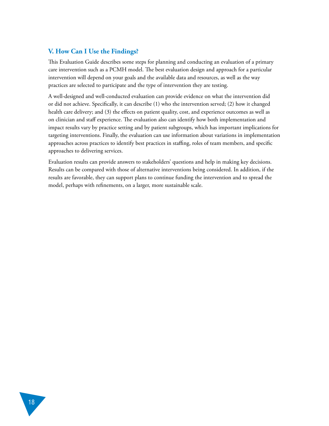#### <span id="page-21-0"></span>**V. How Can I Use the Findings?**

This Evaluation Guide describes some steps for planning and conducting an evaluation of a primary care intervention such as a PCMH model. The best evaluation design and approach for a particular intervention will depend on your goals and the available data and resources, as well as the way practices are selected to participate and the type of intervention they are testing.

A well-designed and well-conducted evaluation can provide evidence on what the intervention did or did not achieve. Specifically, it can describe (1) who the intervention served; (2) how it changed health care delivery; and (3) the effects on patient quality, cost, and experience outcomes as well as on clinician and staff experience. The evaluation also can identify how both implementation and impact results vary by practice setting and by patient subgroups, which has important implications for targeting interventions. Finally, the evaluation can use information about variations in implementation approaches across practices to identify best practices in staffing, roles of team members, and specific approaches to delivering services.

Evaluation results can provide answers to stakeholders' questions and help in making key decisions. Results can be compared with those of alternative interventions being considered. In addition, if the results are favorable, they can support plans to continue funding the intervention and to spread the model, perhaps with refinements, on a larger, more sustainable scale.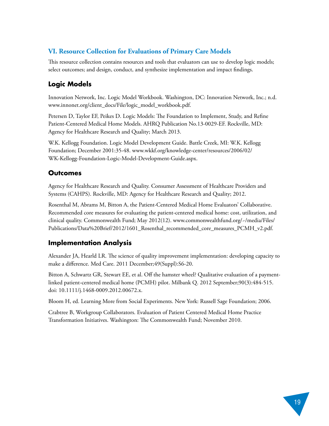## <span id="page-22-0"></span>**VI. Resource Collection for Evaluations of Primary Care Models**

This resource collection contains resources and tools that evaluators can use to develop logic models; select outcomes; and design, conduct, and synthesize implementation and impact findings.

## **Logic Models**

Innovation Network, Inc. Logic Model Workbook. Washington, DC: Innovation Network, Inc.; n.d. [www.innonet.org/client\\_docs/File/logic\\_model\\_workbook.pdf](http://www.innonet.org/client_docs/File/logic_model_workbook.pdf).

Petersen D, Taylor EF, Peikes D. Logic Models: The Foundation to Implement, Study, and Refine Patient-Centered Medical Home Models. AHRQ Publication No.13-0029-EF. Rockville, MD: Agency for Healthcare Research and Quality; March 2013.

W.K. Kellogg Foundation. Logic Model Development Guide. Battle Creek, MI: W.K. Kellogg Foundation; December 2001:35-48. [www.wkkf.org/knowledge-center/resources/2006/02/](http://www.wkkf.org/knowledge-center/resources/2006/02/WK-Kellogg-Foundation-Logic-Model-Development-Guide.aspx) [WK-Kellogg-Foundation-Logic-Model-Development-Guide.aspx](http://www.wkkf.org/knowledge-center/resources/2006/02/WK-Kellogg-Foundation-Logic-Model-Development-Guide.aspx).

## **Outcomes**

Agency for Healthcare Research and Quality. Consumer Assessment of Healthcare Providers and Systems (CAHPS). Rockville, MD: Agency for Healthcare Research and Quality; 2012.

Rosenthal M, Abrams M, Bitton A, the Patient-Centered Medical Home Evaluators' Collaborative. Recommended core measures for evaluating the patient-centered medical home: cost, utilization, and clinical quality. Commonwealth Fund; May 2012(12). [www.commonwealthfund.org/~/media/Files/](http://www.commonwealthfund.org/~/media/Files/Publications/Data%20Brief/2012/1601_Rosenthal_recommended_core_measures_PCMH_v2.pdf) [Publications/Data%20Brief/2012/1601\\_Rosenthal\\_recommended\\_core\\_measures\\_PCMH\\_v2.pdf](http://www.commonwealthfund.org/~/media/Files/Publications/Data%20Brief/2012/1601_Rosenthal_recommended_core_measures_PCMH_v2.pdf).

## **Implementation Analysis**

Alexander JA, Hearld LR. The science of quality improvement implementation: developing capacity to make a difference. Med Care. 2011 December;49(Suppl):S6-20.

Bitton A, Schwartz GR, Stewart EE, et al. Off the hamster wheel? Qualitative evaluation of a paymentlinked patient-centered medical home (PCMH) pilot. Milbank Q. 2012 September;90(3):484-515. doi: 10.1111/j.1468-0009.2012.00672.x.

Bloom H, ed. Learning More from Social Experiments. New York: Russell Sage Foundation; 2006.

Crabtree B, Workgroup Collaborators. Evaluation of Patient Centered Medical Home Practice Transformation Initiatives. Washington: The Commonwealth Fund; November 2010.

19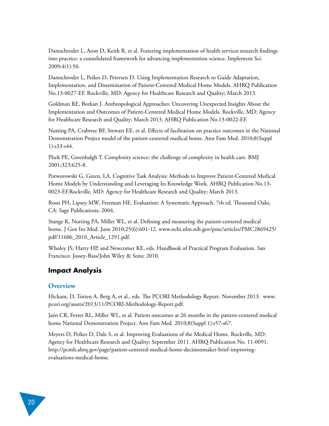Damschroder L, Aron D, Keith R, et al. Fostering implementation of health services research findings into practice: a consolidated framework for advancing implementation science. Implement Sci. 2009;4(1):50.

Damschroder L, Peikes D, Petersen D. Using Implementation Research to Guide Adaptation, Implementation, and Dissemination of Patient-Centered Medical Home Models. AHRQ Publication No.13-0027-EF. Rockville, MD: Agency for Healthcare Research and Quality; March 2013.

Goldman RE, Borkan J. Anthropological Approaches: Uncovering Unexpected Insights About the Implementation and Outcomes of Patient-Centered Medical Home Models. Rockville, MD: Agency for Healthcare Research and Quality; March 2013. AHRQ Publication No.13-0022-EF.

Nutting PA, Crabtree BF, Stewart EE, et al. Effects of facilitation on practice outcomes in the National Demonstration Project model of the patient-centered medical home. Ann Fam Med. 2010;8(Suppl 1):s33-s44.

Plsek PE, Greenhalgh T. Complexity science: the challenge of complexity in health care. BMJ 2001;323:625-8.

Potworowski G, Green, LA. Cognitive Task Analysis: Methods to Improve Patient-Centered Medical Home Models by Understanding and Leveraging Its Knowledge Work. AHRQ Publication No.13- 0023-EF.Rockville, MD: Agency for Healthcare Research and Quality; March 2013.

Rossi PH, Lipsey MW, Freeman HE. Evaluation: A Systematic Approach. 7th ed. Thousand Oaks, CA: Sage Publications; 2004.

Stange K, Nutting PA, Miller WL, et al. Defining and measuring the patient-centered medical home. J Gen Int Med. June 2010;25(6):601-12. [www.ncbi.nlm.nih.gov/pmc/articles/PMC2869425/](http://www.ncbi.nlm.nih.gov/pmc/articles/PMC2869425/pdf/11606_2010_Article_1291.pdf) [pdf/11606\\_2010\\_Article\\_1291.pdf.](http://www.ncbi.nlm.nih.gov/pmc/articles/PMC2869425/pdf/11606_2010_Article_1291.pdf)

Wholey JS, Hatry HP, and Newcomer KE, eds. Handbook of Practical Program Evaluation. San Francisco: Jossey-Bass/John Wiley & Sons; 2010.

## **Impact Analysis**

#### **Overview**

Hickam, D, Totten A, Berg A, et al., eds. The PCORI Methodology Report. November 2013. [www.](http://www.pcori.org/assets/2013/11/PCORI-Methodology-Report.pdf) [pcori.org/assets/2013/11/PCORI-Methodology-Report.pdf](http://www.pcori.org/assets/2013/11/PCORI-Methodology-Report.pdf).

Jaén CR, Ferrer RL, Miller WL, et al. Patient outcomes at 26 months in the patient-centered medical home National Demonstration Project. Ann Fam Med. 2010;8(Suppl 1):s57-s67.

Meyers D, Peikes D, Dale S, et al. Improving Evaluations of the Medical Home. Rockville, MD: Agency for Healthcare Research and Quality; September 2011. AHRQ Publication No. 11-0091. [http://pcmh.ahrq.gov/page/patient-centered-medical-home-decisionmaker-brief-improving](http://pcmh.ahrq.gov/page/patient-centered-medical-home-decisionmaker-brief-improving-evaluations-medical-home)evaluations-medical-home.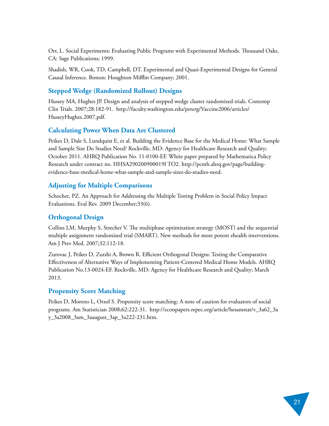Orr, L. Social Experiments: Evaluating Public Programs with Experimental Methods. Thousand Oaks, CA: Sage Publications; 1999.

Shadish, WR, Cook, TD, Campbell, DT. Experimental and Quasi-Experimental Designs for General Causal Inference. Boston: Houghton Mifflin Company; 2001.

#### **Stepped Wedge (Randomized Rollout) Designs**

Hussey MA, Hughes JP. Design and analysis of stepped wedge cluster randomized trials. Contemp Clin Trials. 2007;28:182-91. [http://faculty.washington.edu/peterg/Vaccine2006/articles/](http://faculty.washington.edu/peterg/Vaccine2006/articles/HusseyHughes.2007.pdf) [HusseyHughes.2007.pdf.](http://faculty.washington.edu/peterg/Vaccine2006/articles/HusseyHughes.2007.pdf)

#### **Calculating Power When Data Are Clustered**

Peikes D, Dale S, Lundquist E, et al. Building the Evidence Base for the Medical Home: What Sample and Sample Size Do Studies Need? Rockville, MD: Agency for Healthcare Research and Quality; October 2011. AHRQ Publication No. 11-0100-EF. White paper prepared by Mathematica Policy Research under contract no. HHSA290200900019I TO2. [http://pcmh.ahrq.gov/page/building](http://pcmh.ahrq.gov/page/building-evidence-base-medical-home-what-sample-and-sample-size-do-studies-need)[evidence-base-medical-home-what-sample-and-sample-sizes-do-studies-need.](http://pcmh.ahrq.gov/page/building-evidence-base-medical-home-what-sample-and-sample-size-do-studies-need) 

#### **Adjusting for Multiple Comparisons**

Schochet, PZ. An Approach for Addressing the Multiple Testing Problem in Social Policy Impact Evaluations. Eval Rev. 2009 December;33(6).

#### **Orthogonal Design**

Collins LM, Murphy S, Strecher V. The multiphase optimization strategy (MOST) and the sequential multiple assignment randomized trial (SMART). New methods for more potent ehealth interventions. Am J Prev Med. 2007;32:112‐18.

Zurovac J, Peikes D, Zutshi A, Brown R. Efficient Orthogonal Designs: Testing the Comparative Effectiveness of Alternative Ways of Implementing Patient-Centered Medical Home Models. AHRQ Publication No.13-0024-EF. Rockville, MD: Agency for Healthcare Research and Quality; March 2013.

#### **Propensity Score Matching**

Peikes D, Moreno L, Orzol S. Propensity score matching: A note of caution for evaluators of social programs. Am Statistician 2008;62:222-31. [http://econpapers.repec.org/article/besamstat/v\\_3a62\\_3a](http://econpapers.repec.org/article/besamstat/v_3a62_3ay_3a2008_3am_3aaugust_3ap_3a222-231.htm) [y\\_3a2008\\_3am\\_3aaugust\\_3ap\\_3a222-231.htm.](http://econpapers.repec.org/article/besamstat/v_3a62_3ay_3a2008_3am_3aaugust_3ap_3a222-231.htm)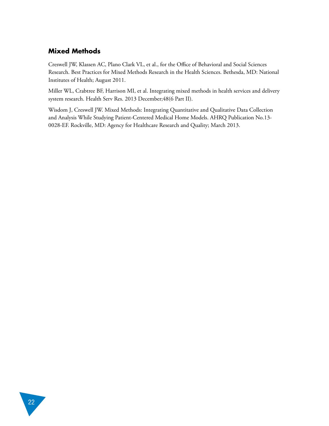## **Mixed Methods**

Creswell JW, Klassen AC, Plano Clark VL, et al., for the Office of Behavioral and Social Sciences Research. Best Practices for Mixed Methods Research in the Health Sciences. Bethesda, MD: National Institutes of Health; August 2011.

Miller WL, Crabtree BF, Harrison MI, et al. Integrating mixed methods in health services and delivery system research. Health Serv Res. 2013 December;48(6 Part II).

Wisdom J, Creswell JW. Mixed Methods: Integrating Quantitative and Qualitative Data Collection and Analysis While Studying Patient-Centered Medical Home Models. AHRQ Publication No.13- 0028-EF. Rockville, MD: Agency for Healthcare Research and Quality; March 2013.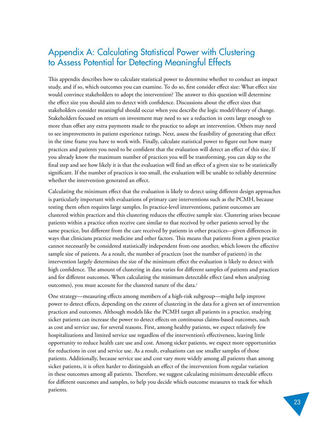# <span id="page-26-0"></span>Appendix A: Calculating Statistical Power with Clustering to Assess Potential for Detecting Meaningful Effects

This appendix describes how to calculate statistical power to determine whether to conduct an impact study, and if so, which outcomes you can examine. To do so, first consider effect size: What effect size would convince stakeholders to adopt the intervention? The answer to this question will determine the effect size you should aim to detect with confidence. Discussions about the effect sizes that stakeholders consider meaningful should occur when you describe the logic model/theory of change. Stakeholders focused on return on investment may need to see a reduction in costs large enough to more than offset any extra payments made to the practice to adopt an intervention. Others may need to see improvements in patient experience ratings. Next, assess the feasibility of generating that effect in the time frame you have to work with. Finally, calculate statistical power to figure out how many practices and patients you need to be confident that the evaluation will detect an effect of this size. If you already know the maximum number of practices you will be transforming, you can skip to the final step and see how likely it is that the evaluation will find an effect of a given size to be statistically significant. If the number of practices is too small, the evaluation will be unable to reliably determine whether the intervention generated an effect.

Calculating the minimum effect that the evaluation is likely to detect using different design approaches is particularly important with evaluations of primary care interventions such as the PCMH, because testing them often requires large samples. In practice-level interventions, patient outcomes are clustered within practices and this clustering reduces the effective sample size. Clustering arises because patients within a practice often receive care similar to that received by other patients served by the same practice, but different from the care received by patients in other practices—given differences in ways that clinicians practice medicine and other factors. This means that patients from a given practice cannot necessarily be considered statistically independent from one another, which lowers the effective sample size of patients. As a result, the number of practices (not the number of patients) in the intervention largely determines the size of the minimum effect the evaluation is likely to detect with high confidence. The amount of clustering in data varies for different samples of patients and practices and for different outcomes. When calculating the minimum detectable effect (and when analyzing outcomes), you must account for the clustered nature of the data[.](#page-30-0)<sup>7</sup>

One strategy—measuring effects among members of a high-risk subgroup—might help improve power to detect effects, depending on the extent of clustering in the data for a given set of intervention practices and outcomes. Although models like the PCMH target all patients in a practice, studying sicker patients can increase the power to detect effects on continuous claims-based outcomes, such as cost and service use, for several reasons. First, among healthy patients, we expect relatively few hospitalizations and limited service use regardless of the intervention's effectiveness, leaving little opportunity to reduce health care use and cost. Among sicker patients, we expect more opportunities for reductions in cost and service use. As a result, evaluations can use smaller samples of those patients. Additionally, because service use and cost vary more widely among all patients than among sicker patients, it is often harder to distinguish an effect of the intervention from regular variation in these outcomes among all patients. Therefore, we suggest calculating minimum detectable effects for different outcomes and samples, to help you decide which outcome measures to track for which patients.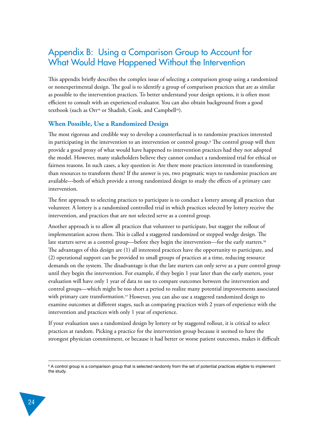# <span id="page-27-0"></span>Appendix B: Using a Comparison Group to Account for What Would Have Happened Without the Intervention

This appendix briefly describes the complex issue of selecting a comparison group using a randomized or nonexperimental design. The goal is to identify a group of comparison practices that are as similar as possible to the intervention practices. To better understand your design options, it is often most efficient to consult with an experienced evaluator. You can also obtain background from a good textbook (such as Orr<sup>14</sup> [o](#page-31-0)r Shadish, Cook, and Campbell<sup>[15](#page-31-0)</sup>).

#### **When Possible, Use a Randomized Design**

The most rigorous and credible way to develop a counterfactual is to randomize practices interested in participating in the intervention to an intervention or control group. $^\mathrm{b}$  The control group will then provide a good proxy of what would have happened to intervention practices had they not adopted the model. However, many stakeholders believe they cannot conduct a randomized trial for ethical or fairness reasons. In such cases, a key question is: Are there more practices interested in transforming than resources to transform them? If the answer is yes, two pragmatic ways to randomize practices are available—both of which provide a strong randomized design to study the effects of a primary care intervention.

The first approach to selecting practices to participate is to conduct a lottery among all practices that volunteer. A lottery is a randomized controlled trial in which practices selected by lottery receive the intervention, and practices that are not selected serve as a control group.

Another approach is to allow all practices that volunteer to participate, but stagger the rollout of implementation across them. This is called a staggered randomized or stepped wedge design. The late starters serve as a control group—before they begin the intervention—for the early starters.[16](#page-31-0) The advantages of this design are (1) all interested practices have the opportunity to participate, and (2) operational support can be provided to small groups of practices at a time, reducing resource demands on the system. The disadvantage is that the late starters can only serve as a pure control group until they begin the intervention. For example, if they begin 1 year later than the early starters, your evaluation will have only 1 year of data to use to compare outcomes between the intervention and control groups—which might be too short a period to realize many potential improvements associated with primary care transformation.17 [H](#page-31-0)owever, you can also use a staggered randomized design to examine outcomes at different stages, such as comparing practices with 2 years of experience with the intervention and practices with only 1 year of experience.

If your evaluation uses a randomized design by lottery or by staggered rollout, it is critical to select practices at random. Picking a practice for the intervention group because it seemed to have the strongest physician commitment, or because it had better or worse patient outcomes, makes it difficult

**b** A control group is a comparison group that is selected randomly from the set of potential practices eligible to implement the study.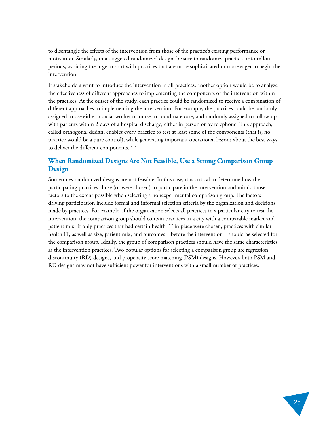to disentangle the effects of the intervention from those of the practice's existing performance or motivation. Similarly, in a staggered randomized design, be sure to randomize practices into rollout periods, avoiding the urge to start with practices that are more sophisticated or more eager to begin the intervention.

If stakeholders want to introduce the intervention in all practices, another option would be to analyze the effectiveness of different approaches to implementing the components of the intervention within the practices. At the outset of the study, each practice could be randomized to receive a combination of different approaches to implementing the intervention. For example, the practices could be randomly assigned to use either a social worker or nurse to coordinate care, and randomly assigned to follow up with patients within 2 days of a hospital discharge, either in person or by telephone. This approach, called orthogonal design, enables every practice to test at least some of the components (that is, no practice would be a pure control), while generating important operational lessons about the best ways to deliver the different components.<sup>[18, 19](#page-31-0)</sup>

#### **When Randomized Designs Are Not Feasible, Use a Strong Comparison Group Design**

Sometimes randomized designs are not feasible. In this case, it is critical to determine how the participating practices chose (or were chosen) to participate in the intervention and mimic those factors to the extent possible when selecting a nonexperimental comparison group. The factors driving participation include formal and informal selection criteria by the organization and decisions made by practices. For example, if the organization selects all practices in a particular city to test the intervention, the comparison group should contain practices in a city with a comparable market and patient mix. If only practices that had certain health IT in place were chosen, practices with similar health IT, as well as size, patient mix, and outcomes—before the intervention—should be selected for the comparison group. Ideally, the group of comparison practices should have the same characteristics as the intervention practices. Two popular options for selecting a comparison group are regression discontinuity (RD) designs, and propensity score matching (PSM) designs. However, both PSM and RD designs may not have sufficient power for interventions with a small number of practices.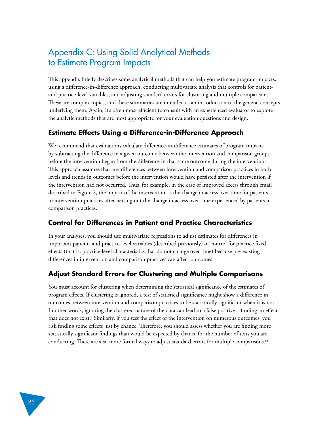# <span id="page-29-0"></span>Appendix C: Using Solid Analytical Methods to Estimate Program Impacts

This appendix briefly describes some analytical methods that can help you estimate program impacts: using a difference-in-difference approach, conducting multivariate analysis that controls for patientand practice-level variables, and adjusting standard errors for clustering and multiple comparisons. These are complex topics, and these summaries are intended as an introduction to the general concepts underlying them. Again, it's often most efficient to consult with an experienced evaluator to explore the analytic methods that are most appropriate for your evaluation questions and design.

## **Estimate Effects Using a Difference-in-Difference Approach**

We recommend that evaluations calculate difference-in-difference estimates of program impacts by subtracting the difference in a given outcome between the intervention and comparison groups before the intervention began from the difference in that same outcome during the intervention. This approach assumes that any differences between intervention and comparison practices in both levels and trends in outcomes before the intervention would have persisted after the intervention if the intervention had not occurred. Thus, for example, in the case of improved access through email described in Figure 2, the impact of the intervention is the change in access over time for patients in intervention practices after netting out the change in access over time experienced by patients in comparison practices.

## **Control for Differences in Patient and Practice Characteristics**

In your analyses, you should use multivariate regressions to adjust estimates for differences in important patient- and practice-level variables (described previously) or control for practice fixed effects (that is, practice-level characteristics that do not change over time) because pre-existing differences in intervention and comparison practices can affect outcomes.

## **Adjust Standard Errors for Clustering and Multiple Comparisons**

You must account for clustering when determining the statistical significance of the estimates of program effects. If clustering is ignored, a test of statistical significance might show a difference in outcomes between intervention and comparison practices to be statistically significant when it is not. In other words, ignoring the clustered nature of the data can lead to a false positive—finding an effect that does not exist.<sup>7</sup>  [S](#page-30-0)imilarly, if you test the effect of the intervention on numerous outcomes, you risk finding some effects just by chance. Therefore, you should assess whether you are finding more statistically significant findings than would be expected by chance for the number of tests you are conducting. There are also more formal ways to adjust standard errors for multiple comparisons[.](#page-31-0)20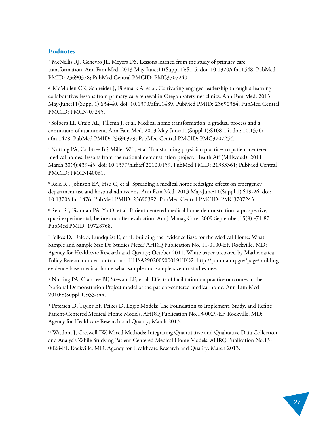#### <span id="page-30-0"></span>**Endnotes**

<sup>1</sup> McNellis RJ, Genevro JL, Meyers DS. Lessons learned from the study of primary care transformation. Ann Fam Med. 2013 May-June;11(Suppl 1):S1-5. doi: 10.1370/afm.1548. PubMed PMID: 23690378; PubMed Central PMCID: PMC3707240.

2 McMullen CK, Schneider J, Firemark A, et al. Cultivating engaged leadership through a learning collaborative: lessons from primary care renewal in Oregon safety net clinics. Ann Fam Med. 2013 May-June;11(Suppl 1):S34-40. doi: 10.1370/afm.1489. PubMed PMID: 23690384; PubMed Central PMCID: PMC3707245.

3 Solberg LI, Crain AL, Tillema J, et al. Medical home transformation: a gradual process and a continuum of attainment. Ann Fam Med. 2013 May-June;11(Suppl 1):S108-14. doi: 10.1370/ afm.1478. PubMed PMID: 23690379; PubMed Central PMCID: PMC3707254.

4 Nutting PA, Crabtree BF, Miller WL, et al. Transforming physician practices to patient-centered medical homes: lessons from the national demonstration project. Health Aff (Millwood). 2011 March;30(3):439-45. doi: 10.1377/hlthaff.2010.0159. PubMed PMID: 21383361; PubMed Central PMCID: PMC3140061.

5 Reid RJ, Johnson EA, Hsu C, et al. Spreading a medical home redesign: effects on emergency department use and hospital admissions. Ann Fam Med. 2013 May-June;11(Suppl 1):S19-26. doi: 10.1370/afm.1476. PubMed PMID: 23690382; PubMed Central PMCID: PMC3707243.

6 Reid RJ, Fishman PA, Yu O, et al. Patient-centered medical home demonstration: a prospective, quasi-experimental, before and after evaluation. Am J Manag Care. 2009 September;15(9):e71-87. PubMed PMID: 19728768.

7 Peikes D, Dale S, Lundquist E, et al. Building the Evidence Base for the Medical Home: What Sample and Sample Size Do Studies Need? AHRQ Publication No. 11-0100-EF. Rockville, MD: Agency for Healthcare Research and Quality; October 2011. White paper prepared by Mathematica Policy Research under contract no. HHSA290200900019I TO2. [http://pcmh.ahrq.gov/page/building](http://pcmh.ahrq.gov/page/building-evidence-base-medical-home-what-sample-and-sample-size-do-studies-need)[evidence-base-medical-home-what-sample-and-sample-size-do-studies-need.](http://pcmh.ahrq.gov/page/building-evidence-base-medical-home-what-sample-and-sample-size-do-studies-need) 

<sup>8</sup> Nutting PA, Crabtree BF, Stewart EE, et al. Effects of facilitation on practice outcomes in the National Demonstration Project model of the patient-centered medical home. Ann Fam Med. 2010;8(Suppl 1):s33-s44.

<sup>9</sup> Petersen D, Taylor EF, Peikes D. Logic Models: The Foundation to Implement, Study, and Refine Patient-Centered Medical Home Models. AHRQ Publication No.13-0029-EF. Rockville, MD: Agency for Healthcare Research and Quality; March 2013.

<sup>10</sup> Wisdom J, Creswell JW. Mixed Methods: Integrating Quantitative and Qualitative Data Collection and Analysis While Studying Patient-Centered Medical Home Models. AHRQ Publication No.13- 0028-EF. Rockville, MD: Agency for Healthcare Research and Quality; March 2013.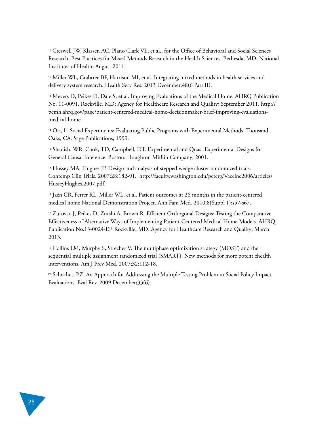<span id="page-31-0"></span><sup>11</sup> Creswell JW, Klassen AC, Plano Clark VL, et al., for the Office of Behavioral and Social Sciences Research. Best Practices for Mixed Methods Research in the Health Sciences. Bethesda, MD: National Institutes of Health; August 2011.

<sup>12</sup> Miller WL, Crabtree BF, Harrison MI, et al. Integrating mixed methods in health services and delivery system research. Health Serv Res. 2013 December;48(6 Part II).

<sup>13</sup> Meyers D, Peikes D, Dale S, et al. Improving Evaluations of the Medical Home. AHRQ Publication No. 11-0091. Rockville, MD: Agency for Healthcare Research and Quality; September 2011. [http://](http://pcmh.ahrq.gov/page/patient-centered-medical-home-decisionmaker-brief-improving-evaluations-medical-home) [pcmh.ahrq.gov/page/patient-centered-medical-home-decisionmaker-brief-improving-evaluations](http://pcmh.ahrq.gov/page/patient-centered-medical-home-decisionmaker-brief-improving-evaluations-medical-home)[medical-home.](http://pcmh.ahrq.gov/page/patient-centered-medical-home-decisionmaker-brief-improving-evaluations-medical-home) 

<sup>14</sup> Orr, L. Social Experiments: Evaluating Public Programs with Experimental Methods. Thousand Oaks, CA: Sage Publications; 1999.

<sup>15</sup> Shadish, WR, Cook, TD, Campbell, DT. Experimental and Quasi-Experimental Designs for General Causal Inference. Boston: Houghton Mifflin Company; 2001.

<sup>16</sup> Hussey MA, Hughes JP. Design and analysis of stepped wedge cluster randomized trials. Contemp Clin Trials. 2007;28:182-91. [http://faculty.washington.edu/peterg/Vaccine2006/articles/](http://faculty.washington.edu/peterg/Vaccine2006/articles/HusseyHughes.2007.pdf) [HusseyHughes.2007.pdf.](http://faculty.washington.edu/peterg/Vaccine2006/articles/HusseyHughes.2007.pdf) 

<sup>17</sup> Jaén CR, Ferrer RL, Miller WL, et al. Patient outcomes at 26 months in the patient-centered medical home National Demonstration Project. Ann Fam Med. 2010;8(Suppl 1):s57-s67.

<sup>18</sup> Zurovac J, Peikes D, Zutshi A, Brown R. Efficient Orthogonal Designs: Testing the Comparative Effectiveness of Alternative Ways of Implementing Patient-Centered Medical Home Models. AHRQ Publication No.13-0024-EF. Rockville, MD: Agency for Healthcare Research and Quality; March 2013.

<sup>19</sup> Collins LM, Murphy S, Strecher V. The multiphase optimization strategy (MOST) and the sequential multiple assignment randomized trial (SMART). New methods for more potent ehealth interventions. Am J Prev Med. 2007;32:112‐18.

<sup>20</sup> Schochet, PZ. An Approach for Addressing the Multiple Testing Problem in Social Policy Impact Evaluations. Eval Rev. 2009 December;33(6).